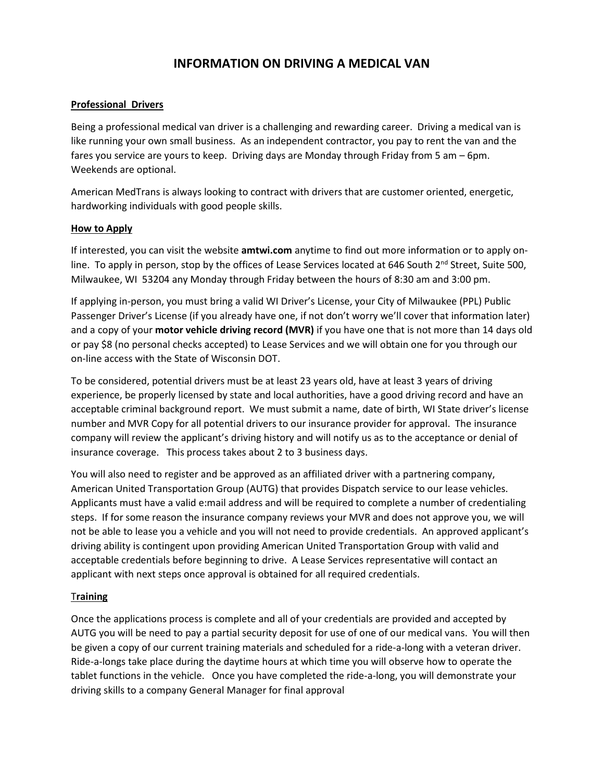# **INFORMATION ON DRIVING A MEDICAL VAN**

#### **Professional Drivers**

Being a professional medical van driver is a challenging and rewarding career. Driving a medical van is like running your own small business. As an independent contractor, you pay to rent the van and the fares you service are yours to keep. Driving days are Monday through Friday from 5 am – 6pm. Weekends are optional.

American MedTrans is always looking to contract with drivers that are customer oriented, energetic, hardworking individuals with good people skills.

#### **How to Apply**

If interested, you can visit the website **amtwi.com** anytime to find out more information or to apply online. To apply in person, stop by the offices of Lease Services located at 646 South  $2^{nd}$  Street, Suite 500, Milwaukee, WI 53204 any Monday through Friday between the hours of 8:30 am and 3:00 pm.

If applying in-person, you must bring a valid WI Driver's License, your City of Milwaukee (PPL) Public Passenger Driver's License (if you already have one, if not don't worry we'll cover that information later) and a copy of your **motor vehicle driving record (MVR)** if you have one that is not more than 14 days old or pay \$8 (no personal checks accepted) to Lease Services and we will obtain one for you through our on-line access with the State of Wisconsin DOT.

To be considered, potential drivers must be at least 23 years old, have at least 3 years of driving experience, be properly licensed by state and local authorities, have a good driving record and have an acceptable criminal background report. We must submit a name, date of birth, WI State driver's license number and MVR Copy for all potential drivers to our insurance provider for approval. The insurance company will review the applicant's driving history and will notify us as to the acceptance or denial of insurance coverage. This process takes about 2 to 3 business days.

You will also need to register and be approved as an affiliated driver with a partnering company, American United Transportation Group (AUTG) that provides Dispatch service to our lease vehicles. Applicants must have a valid e:mail address and will be required to complete a number of credentialing steps. If for some reason the insurance company reviews your MVR and does not approve you, we will not be able to lease you a vehicle and you will not need to provide credentials. An approved applicant's driving ability is contingent upon providing American United Transportation Group with valid and acceptable credentials before beginning to drive. A Lease Services representative will contact an applicant with next steps once approval is obtained for all required credentials.

#### T**raining**

Once the applications process is complete and all of your credentials are provided and accepted by AUTG you will be need to pay a partial security deposit for use of one of our medical vans. You will then be given a copy of our current training materials and scheduled for a ride-a-long with a veteran driver. Ride-a-longs take place during the daytime hours at which time you will observe how to operate the tablet functions in the vehicle. Once you have completed the ride-a-long, you will demonstrate your driving skills to a company General Manager for final approval